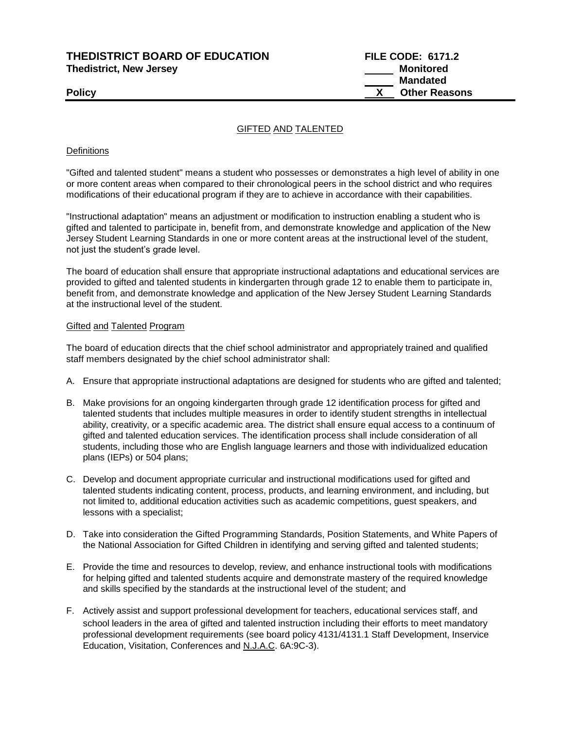**THEDISTRICT BOARD OF EDUCATION FILE CODE: 6171.2 Thedistrict, New Jersey Monitored** 

 **Mandated Policy X** Other Reasons

# GIFTED AND TALENTED

### **Definitions**

"Gifted and talented student" means a student who possesses or demonstrates a high level of ability in one or more content areas when compared to their chronological peers in the school district and who requires modifications of their educational program if they are to achieve in accordance with their capabilities.

"Instructional adaptation" means an adjustment or modification to instruction enabling a student who is gifted and talented to participate in, benefit from, and demonstrate knowledge and application of the New Jersey Student Learning Standards in one or more content areas at the instructional level of the student, not just the student's grade level.

The board of education shall ensure that appropriate instructional adaptations and educational services are provided to gifted and talented students in kindergarten through grade 12 to enable them to participate in, benefit from, and demonstrate knowledge and application of the New Jersey Student Learning Standards at the instructional level of the student.

#### Gifted and Talented Program

The board of education directs that the chief school administrator and appropriately trained and qualified staff members designated by the chief school administrator shall:

- A. Ensure that appropriate instructional adaptations are designed for students who are gifted and talented;
- B. Make provisions for an ongoing kindergarten through grade 12 identification process for gifted and talented students that includes multiple measures in order to identify student strengths in intellectual ability, creativity, or a specific academic area. The district shall ensure equal access to a continuum of gifted and talented education services. The identification process shall include consideration of all students, including those who are English language learners and those with individualized education plans (IEPs) or 504 plans;
- C. Develop and document appropriate curricular and instructional modifications used for gifted and talented students indicating content, process, products, and learning environment, and including, but not limited to, additional education activities such as academic competitions, guest speakers, and lessons with a specialist;
- D. Take into consideration the Gifted Programming Standards, Position Statements, and White Papers of the National Association for Gifted Children in identifying and serving gifted and talented students;
- E. Provide the time and resources to develop, review, and enhance instructional tools with modifications for helping gifted and talented students acquire and demonstrate mastery of the required knowledge and skills specified by the standards at the instructional level of the student; and
- F. Actively assist and support professional development for teachers, educational services staff, and school leaders in the area of gifted and talented instruction including their efforts to meet mandatory professional development requirements (see board policy 4131/4131.1 Staff Development, Inservice Education, Visitation, Conferences and N.J.A.C. 6A:9C-3).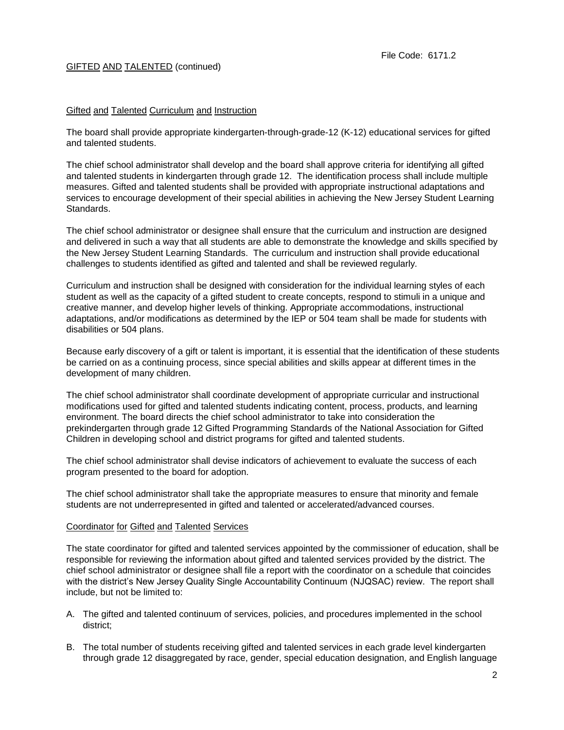# GIFTED AND TALENTED (continued)

# Gifted and Talented Curriculum and Instruction

The board shall provide appropriate kindergarten-through-grade-12 (K-12) educational services for gifted and talented students.

The chief school administrator shall develop and the board shall approve criteria for identifying all gifted and talented students in kindergarten through grade 12. The identification process shall include multiple measures. Gifted and talented students shall be provided with appropriate instructional adaptations and services to encourage development of their special abilities in achieving the New Jersey Student Learning Standards.

The chief school administrator or designee shall ensure that the curriculum and instruction are designed and delivered in such a way that all students are able to demonstrate the knowledge and skills specified by the New Jersey Student Learning Standards. The curriculum and instruction shall provide educational challenges to students identified as gifted and talented and shall be reviewed regularly.

Curriculum and instruction shall be designed with consideration for the individual learning styles of each student as well as the capacity of a gifted student to create concepts, respond to stimuli in a unique and creative manner, and develop higher levels of thinking. Appropriate accommodations, instructional adaptations, and/or modifications as determined by the IEP or 504 team shall be made for students with disabilities or 504 plans.

Because early discovery of a gift or talent is important, it is essential that the identification of these students be carried on as a continuing process, since special abilities and skills appear at different times in the development of many children.

The chief school administrator shall coordinate development of appropriate curricular and instructional modifications used for gifted and talented students indicating content, process, products, and learning environment. The board directs the chief school administrator to take into consideration the prekindergarten through grade 12 Gifted Programming Standards of the National Association for Gifted Children in developing school and district programs for gifted and talented students.

The chief school administrator shall devise indicators of achievement to evaluate the success of each program presented to the board for adoption.

The chief school administrator shall take the appropriate measures to ensure that minority and female students are not underrepresented in gifted and talented or accelerated/advanced courses.

#### Coordinator for Gifted and Talented Services

The state coordinator for gifted and talented services appointed by the commissioner of education, shall be responsible for reviewing the information about gifted and talented services provided by the district. The chief school administrator or designee shall file a report with the coordinator on a schedule that coincides with the district's New Jersey Quality Single Accountability Continuum (NJQSAC) review. The report shall include, but not be limited to:

- A. The gifted and talented continuum of services, policies, and procedures implemented in the school district;
- B. The total number of students receiving gifted and talented services in each grade level kindergarten through grade 12 disaggregated by race, gender, special education designation, and English language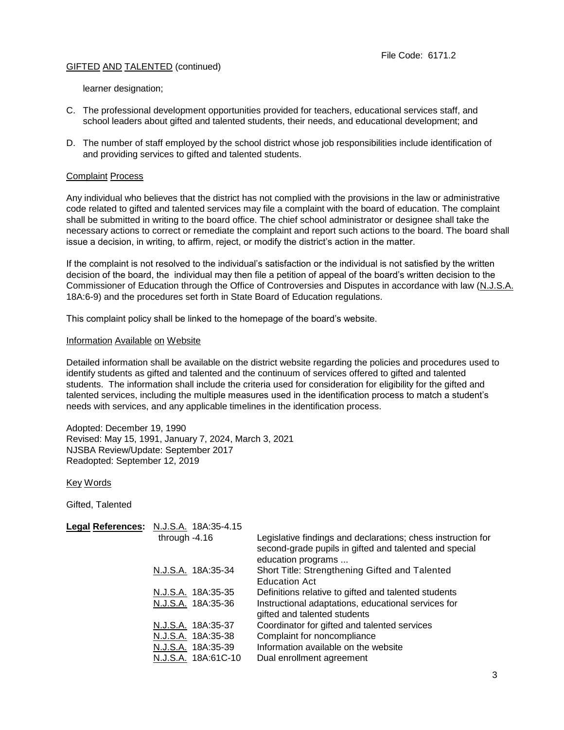# GIFTED AND TALENTED (continued)

learner designation;

- C. The professional development opportunities provided for teachers, educational services staff, and school leaders about gifted and talented students, their needs, and educational development; and
- D. The number of staff employed by the school district whose job responsibilities include identification of and providing services to gifted and talented students.

# Complaint Process

Any individual who believes that the district has not complied with the provisions in the law or administrative code related to gifted and talented services may file a complaint with the board of education. The complaint shall be submitted in writing to the board office. The chief school administrator or designee shall take the necessary actions to correct or remediate the complaint and report such actions to the board. The board shall issue a decision, in writing, to affirm, reject, or modify the district's action in the matter.

If the complaint is not resolved to the individual's satisfaction or the individual is not satisfied by the written decision of the board, the individual may then file a petition of appeal of the board's written decision to the Commissioner of Education through the Office of Controversies and Disputes in accordance with law (N.J.S.A. 18A:6-9) and the procedures set forth in State Board of Education regulations.

This complaint policy shall be linked to the homepage of the board's website.

#### Information Available on Website

Detailed information shall be available on the district website regarding the policies and procedures used to identify students as gifted and talented and the continuum of services offered to gifted and talented students. The information shall include the criteria used for consideration for eligibility for the gifted and talented services, including the multiple measures used in the identification process to match a student's needs with services, and any applicable timelines in the identification process.

Adopted: December 19, 1990 Revised: May 15, 1991, January 7, 2024, March 3, 2021 NJSBA Review/Update: September 2017 Readopted: September 12, 2019

Key Words

Gifted, Talented

| Legal References: N.J.S.A. 18A:35-4.15 |                                                                                                                                              |
|----------------------------------------|----------------------------------------------------------------------------------------------------------------------------------------------|
| through $-4.16$                        | Legislative findings and declarations; chess instruction for<br>second-grade pupils in gifted and talented and special<br>education programs |
| N.J.S.A. 18A:35-34                     | Short Title: Strengthening Gifted and Talented<br><b>Education Act</b>                                                                       |
| N.J.S.A. 18A:35-35                     | Definitions relative to gifted and talented students                                                                                         |
| N.J.S.A. 18A:35-36                     | Instructional adaptations, educational services for<br>gifted and talented students                                                          |
| N.J.S.A. 18A:35-37                     | Coordinator for gifted and talented services                                                                                                 |
| N.J.S.A. 18A:35-38                     | Complaint for noncompliance                                                                                                                  |
| N.J.S.A. 18A:35-39                     | Information available on the website                                                                                                         |
| N.J.S.A. 18A:61C-10                    | Dual enrollment agreement                                                                                                                    |